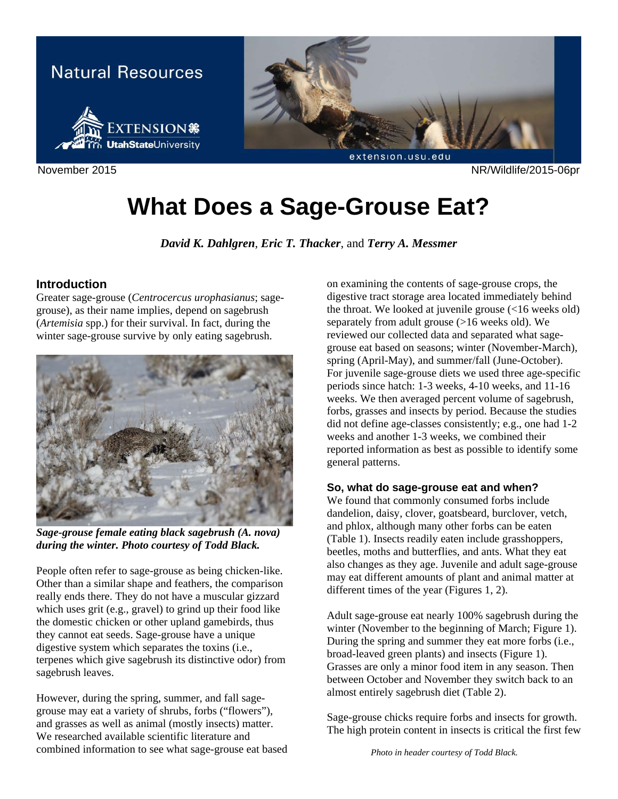

November 2015 NR/Wildlife/2015-06pr

# **What Does a Sage-Grouse Eat?**

*David K. Dahlgren*, *Eric T. Thacker*, and *Terry A. Messmer* 

## **Introduction**

Greater sage-grouse (*Centrocercus urophasianus*; sagegrouse), as their name implies, depend on sagebrush (*Artemisia* spp.) for their survival. In fact, during the winter sage-grouse survive by only eating sagebrush.



*Sage-grouse female eating black sagebrush (A. nova) during the winter. Photo courtesy of Todd Black.* 

People often refer to sage-grouse as being chicken-like. Other than a similar shape and feathers, the comparison really ends there. They do not have a muscular gizzard which uses grit (e.g., gravel) to grind up their food like the domestic chicken or other upland gamebirds, thus they cannot eat seeds. Sage-grouse have a unique digestive system which separates the toxins (i.e., terpenes which give sagebrush its distinctive odor) from sagebrush leaves.

However, during the spring, summer, and fall sagegrouse may eat a variety of shrubs, forbs ("flowers"), and grasses as well as animal (mostly insects) matter. We researched available scientific literature and combined information to see what sage-grouse eat based

on examining the contents of sage-grouse crops, the digestive tract storage area located immediately behind the throat. We looked at juvenile grouse (<16 weeks old) separately from adult grouse (>16 weeks old). We reviewed our collected data and separated what sagegrouse eat based on seasons; winter (November-March), spring (April-May), and summer/fall (June-October). For juvenile sage-grouse diets we used three age-specific periods since hatch: 1-3 weeks, 4-10 weeks, and 11-16 weeks. We then averaged percent volume of sagebrush, forbs, grasses and insects by period. Because the studies did not define age-classes consistently; e.g., one had 1-2 weeks and another 1-3 weeks, we combined their reported information as best as possible to identify some general patterns.

## **So, what do sage-grouse eat and when?**

We found that commonly consumed forbs include dandelion, daisy, clover, goatsbeard, burclover, vetch, and phlox, although many other forbs can be eaten (Table 1). Insects readily eaten include grasshoppers, beetles, moths and butterflies, and ants. What they eat also changes as they age. Juvenile and adult sage-grouse may eat different amounts of plant and animal matter at different times of the year (Figures 1, 2).

Adult sage-grouse eat nearly 100% sagebrush during the winter (November to the beginning of March; Figure 1). During the spring and summer they eat more forbs (i.e., broad-leaved green plants) and insects (Figure 1). Grasses are only a minor food item in any season. Then between October and November they switch back to an almost entirely sagebrush diet (Table 2).

Sage-grouse chicks require forbs and insects for growth. The high protein content in insects is critical the first few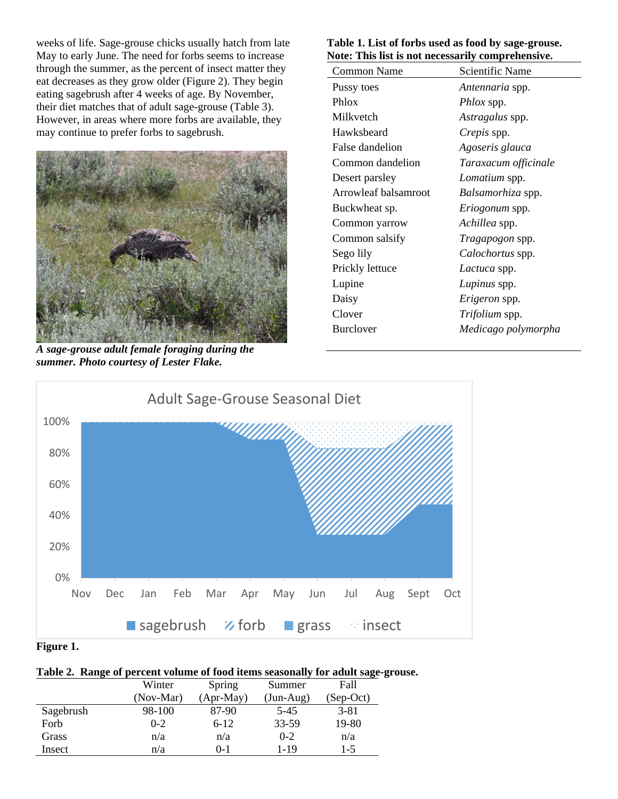weeks of life. Sage-grouse chicks usually hatch from late May to early June. The need for forbs seems to increase through the summer, as the percent of insect matter they eat decreases as they grow older (Figure 2). They begin eating sagebrush after 4 weeks of age. By November, their diet matches that of adult sage-grouse (Table 3). However, in areas where more forbs are available, they may continue to prefer forbs to sagebrush.



*A sage-grouse adult female foraging during the summer. Photo courtesy of Lester Flake.* 

#### **Table 1. List of forbs used as food by sage-grouse. Note: This list is not necessarily comprehensive.**

| role. This list is not necessarily comprenensive. |                        |
|---------------------------------------------------|------------------------|
| <b>Common Name</b>                                | <b>Scientific Name</b> |
| Pussy toes                                        | Antennaria spp.        |
| Phlox                                             | <i>Phlox</i> spp.      |
| Milkvetch                                         | <i>Astragalus</i> spp. |
| Hawksbeard                                        | <i>Crepis</i> spp.     |
| False dandelion                                   | Agoseris glauca        |
| Common dandelion                                  | Taraxacum officinale   |
| Desert parsley                                    | Lomatium spp.          |
| Arrowleaf balsamroot                              | Balsamorhiza spp.      |
| Buckwheat sp.                                     | Eriogonum spp.         |
| Common yarrow                                     | Achillea spp.          |
| Common salsify                                    | Tragapogon spp.        |
| Sego lily                                         | Calochortus spp.       |
| Prickly lettuce                                   | Lactuca spp.           |
| Lupine                                            | Lupinus spp.           |
| Daisy                                             | Erigeron spp.          |
| Clover                                            | Trifolium spp.         |
| <b>Burclover</b>                                  | Medicago polymorpha    |
|                                                   |                        |



#### **Figure 1.**

#### **Table 2. Range of percent volume of food items seasonally for adult sage-grouse.**

|           | Winter    | Spring      | Summer      | Fall        |
|-----------|-----------|-------------|-------------|-------------|
|           | (Nov-Mar) | $(Apr-May)$ | $(Jun-Aug)$ | $(Sep-Oct)$ |
| Sagebrush | 98-100    | 87-90       | $5 - 45$    | $3 - 81$    |
| Forb      | $0 - 2$   | $6 - 12$    | 33-59       | 19-80       |
| Grass     | n/a       | n/a         | $0 - 2$     | n/a         |
| Insect    | n/a       | $() - 1$    | 1-19        | $1 - 5$     |